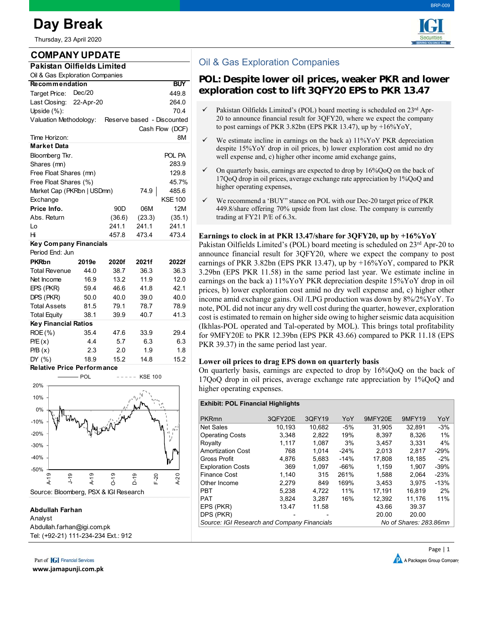# **Day Break**

Thursday, 23 April 2020

# **COMPANY UPDATE**

| Pakistan Oilfields Limited                           |        |                 |        |                 |  |  |  |  |  |  |
|------------------------------------------------------|--------|-----------------|--------|-----------------|--|--|--|--|--|--|
| Oil & Gas Exploration Companies                      |        |                 |        |                 |  |  |  |  |  |  |
| <b>Recommendation</b><br><b>BUY</b>                  |        |                 |        |                 |  |  |  |  |  |  |
| Dec/20<br>Target Price:                              |        | 449.8           |        |                 |  |  |  |  |  |  |
| Last Closing: 22-Apr-20                              |        | 264.0           |        |                 |  |  |  |  |  |  |
| Upside $(\%)$ :                                      |        | 70.4            |        |                 |  |  |  |  |  |  |
| Valuation Methodology:<br>Reserve based - Discounted |        |                 |        |                 |  |  |  |  |  |  |
|                                                      |        |                 |        | Cash Flow (DCF) |  |  |  |  |  |  |
| Time Horizon:                                        |        |                 |        | 8M              |  |  |  |  |  |  |
| <b>Market Data</b>                                   |        |                 |        |                 |  |  |  |  |  |  |
| Bloomberg Tkr.                                       | POL PA |                 |        |                 |  |  |  |  |  |  |
| Shares (mn)                                          |        | 283.9           |        |                 |  |  |  |  |  |  |
| Free Float Shares (mn)                               |        | 129.8           |        |                 |  |  |  |  |  |  |
| Free Float Shares (%)                                |        | 45.7%           |        |                 |  |  |  |  |  |  |
| Market Cap (PKRbn   USDmn)                           | 74.9   | 485.6           |        |                 |  |  |  |  |  |  |
| Exchange                                             |        |                 |        | <b>KSE 100</b>  |  |  |  |  |  |  |
| Price Info.                                          |        | 90 <sub>D</sub> | 06M    | 12M             |  |  |  |  |  |  |
| Abs. Return                                          |        | (36.6)          | (23.3) | (35.1)          |  |  |  |  |  |  |
| Lo                                                   |        | 241.1           | 241.1  | 241.1           |  |  |  |  |  |  |
| Hi                                                   |        | 457.8           | 473.4  | 473.4           |  |  |  |  |  |  |
| <b>Key Company Financials</b>                        |        |                 |        |                 |  |  |  |  |  |  |
| Period End: Jun                                      |        |                 |        |                 |  |  |  |  |  |  |
| <b>PKRbn</b>                                         | 2019e  | 2020f           | 2021f  | 2022f           |  |  |  |  |  |  |
| <b>Total Revenue</b>                                 | 44.0   | 38.7            | 36.3   | 36.3            |  |  |  |  |  |  |
| Net Income                                           | 16.9   | 13.2            | 11.9   | 12.0            |  |  |  |  |  |  |
| EPS (PKR)                                            | 59.4   | 46.6            | 41.8   | 42.1            |  |  |  |  |  |  |
| DPS (PKR)                                            | 50.0   | 40.0            | 39.0   | 40.0            |  |  |  |  |  |  |
| <b>Total Assets</b>                                  | 81.5   | 79.1            | 78.7   | 78.9            |  |  |  |  |  |  |
| <b>Total Equity</b>                                  | 38.1   | 39.9            | 40.7   | 41.3            |  |  |  |  |  |  |
| <b>Key Financial Ratios</b>                          |        |                 |        |                 |  |  |  |  |  |  |
| $ROE(\% )$                                           | 35.4   | 47.6            | 33.9   | 29.4            |  |  |  |  |  |  |
| P/E(x)                                               | 4.4    | 5.7             | 6.3    | 6.3             |  |  |  |  |  |  |
| P/B(x)                                               | 2.3    | 2.0             | 1.9    | 1.8             |  |  |  |  |  |  |
| DY (%)                                               | 18.9   | 15.2            | 14.8   | 15.2            |  |  |  |  |  |  |



#### **Abdullah Farhan**

Analyst Abdullah.farhan@igi.com.pk Tel: (+92-21) 111-234-234 Ext.: 912

Part of **[G]** Financial Services

**www.jamapunji.com.pk**



# Oil & Gas Exploration Companies

## **POL: Despite lower oil prices, weaker PKR and lower exploration cost to lift 3QFY20 EPS to PKR 13.47**

- Pakistan Oilfields Limited's (POL) board meeting is scheduled on 23rd Apr-20 to announce financial result for 3QFY20, where we expect the company to post earnings of PKR 3.82bn (EPS PKR 13.47), up by +16%YoY,
- We estimate incline in earnings on the back a) 11%YoY PKR depreciation despite 15%YoY drop in oil prices, b) lower exploration cost amid no dry well expense and, c) higher other income amid exchange gains,
- $\checkmark$  On quarterly basis, earnings are expected to drop by 16%QoQ on the back of 17QoQ drop in oil prices, average exchange rate appreciation by 1%QoQ and higher operating expenses,
- We recommend a 'BUY" stance on POL with our Dec-20 target price of PKR 449.8/share offering 70% upside from last close. The company is currently trading at FY21 P/E of 6.3x.

### **Earnings to clock in at PKR 13.47/share for 3QFY20, up by +16%YoY**

Pakistan Oilfields Limited's (POL) board meeting is scheduled on  $23<sup>rd</sup>$  Apr-20 to announce financial result for 3QFY20, where we expect the company to post earnings of PKR 3.82bn (EPS PKR 13.47), up by +16%YoY, compared to PKR 3.29bn (EPS PKR 11.58) in the same period last year. We estimate incline in earnings on the back a) 11%YoY PKR depreciation despite 15%YoY drop in oil prices, b) lower exploration cost amid no dry well expense and, c) higher other income amid exchange gains. Oil /LPG production was down by 8%/2%YoY. To note, POL did not incur any dry well cost during the quarter, however, exploration cost is estimated to remain on higher side owing to higher seismic data acquisition (Ikhlas-POL operated and Tal-operated by MOL). This brings total profitability for 9MFY20E to PKR 12.39bn (EPS PKR 43.66) compared to PKR 11.18 (EPS PKR 39.37) in the same period last year.

#### **Lower oil prices to drag EPS down on quarterly basis**

On quarterly basis, earnings are expected to drop by 16%QoQ on the back of 17QoQ drop in oil prices, average exchange rate appreciation by 1%QoQ and higher operating expenses.

| <b>Exhibit: POL Financial Highlights</b>    |         |        |        |         |                        |        |  |  |  |
|---------------------------------------------|---------|--------|--------|---------|------------------------|--------|--|--|--|
| <b>PKRmn</b>                                | 3QFY20E | 3QFY19 | YoY    | 9MFY20E | 9MFY19                 | YoY    |  |  |  |
| <b>Net Sales</b>                            | 10.193  | 10.682 | -5%    | 31.905  | 32.891                 | $-3%$  |  |  |  |
| <b>Operating Costs</b>                      | 3.348   | 2,822  | 19%    | 8.397   | 8.326                  | 1%     |  |  |  |
| Royalty                                     | 1.117   | 1.087  | 3%     | 3,457   | 3.331                  | 4%     |  |  |  |
| <b>Amortization Cost</b>                    | 768     | 1.014  | $-24%$ | 2.013   | 2.817                  | $-29%$ |  |  |  |
| <b>Gross Profit</b>                         | 4,876   | 5,683  | $-14%$ | 17.808  | 18.185                 | $-2%$  |  |  |  |
| <b>Exploration Costs</b>                    | 369     | 1.097  | $-66%$ | 1.159   | 1.907                  | $-39%$ |  |  |  |
| <b>Finance Cost</b>                         | 1.140   | 315    | 261%   | 1.588   | 2.064                  | $-23%$ |  |  |  |
| Other Income                                | 2.279   | 849    | 169%   | 3.453   | 3.975                  | $-13%$ |  |  |  |
| <b>PBT</b>                                  | 5,238   | 4.722  | 11%    | 17.191  | 16,819                 | 2%     |  |  |  |
| PAT                                         | 3,824   | 3.287  | 16%    | 12,392  | 11.176                 | 11%    |  |  |  |
| EPS (PKR)                                   | 13.47   | 11.58  |        | 43.66   | 39.37                  |        |  |  |  |
| DPS (PKR)                                   |         |        |        | 20.00   | 20.00                  |        |  |  |  |
| Source: IGI Research and Company Financials |         |        |        |         | No of Shares: 283.86mn |        |  |  |  |
|                                             |         |        |        |         |                        |        |  |  |  |